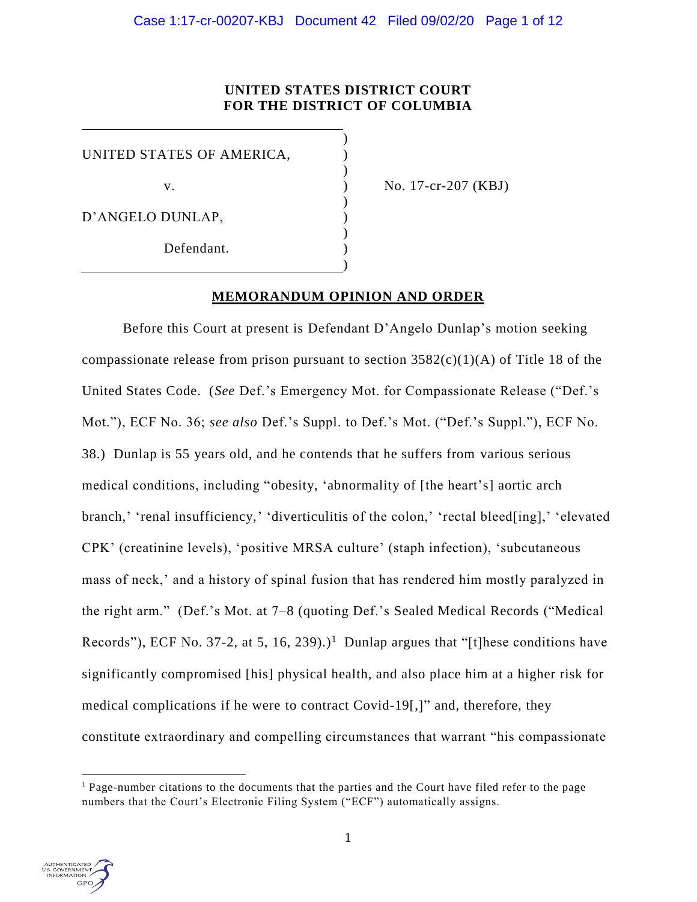# **UNITED STATES DISTRICT COURT FOR THE DISTRICT OF COLUMBIA**

)

)

)

)

)

UNITED STATES OF AMERICA,

D'ANGELO DUNLAP, )

Defendant.

v. ) No. 17-cr-207 (KBJ)

# **MEMORANDUM OPINION AND ORDER**

Before this Court at present is Defendant D'Angelo Dunlap's motion seeking compassionate release from prison pursuant to section  $3582(c)(1)(A)$  of Title 18 of the United States Code. (*See* Def.'s Emergency Mot. for Compassionate Release ("Def.'s Mot."), ECF No. 36; *see also* Def.'s Suppl. to Def.'s Mot. ("Def.'s Suppl."), ECF No. 38.) Dunlap is 55 years old, and he contends that he suffers from various serious medical conditions, including "obesity, 'abnormality of [the heart's] aortic arch branch,' 'renal insufficiency,' 'diverticulitis of the colon,' 'rectal bleed[ing],' 'elevated CPK' (creatinine levels), 'positive MRSA culture' (staph infection), 'subcutaneous mass of neck,' and a history of spinal fusion that has rendered him mostly paralyzed in the right arm." (Def.'s Mot. at 7–8 (quoting Def.'s Sealed Medical Records ("Medical Records"), ECF No. 37-2, at 5, 16, 239).)<sup>1</sup> Dunlap argues that "[t] hese conditions have significantly compromised [his] physical health, and also place him at a higher risk for medical complications if he were to contract Covid-19[,]" and, therefore, they constitute extraordinary and compelling circumstances that warrant "his compassionate



 $\overline{a}$ 

 $<sup>1</sup>$  Page-number citations to the documents that the parties and the Court have filed refer to the page</sup> numbers that the Court's Electronic Filing System ("ECF") automatically assigns.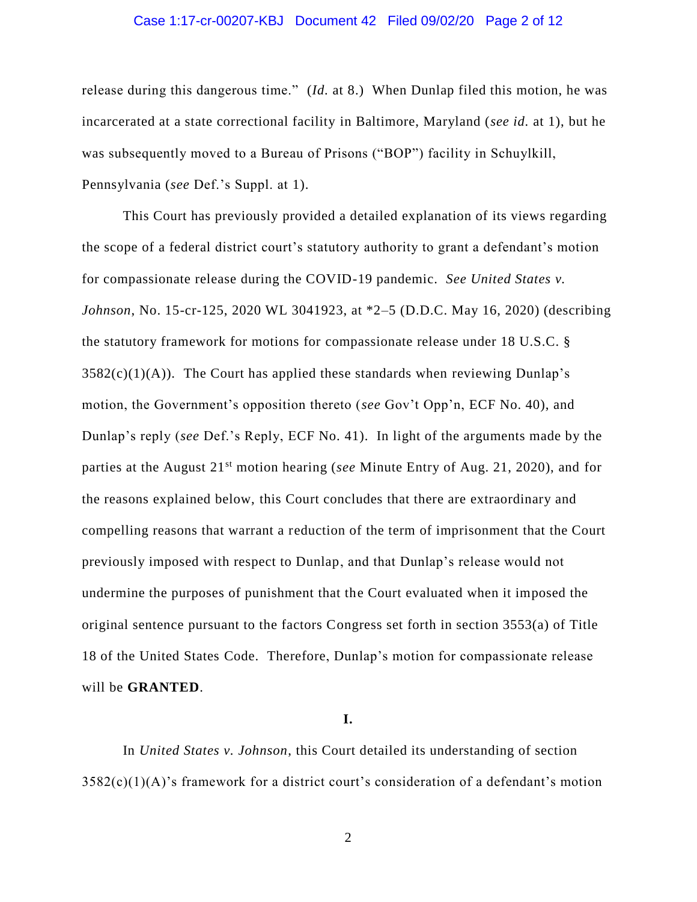### Case 1:17-cr-00207-KBJ Document 42 Filed 09/02/20 Page 2 of 12

release during this dangerous time." (*Id.* at 8.) When Dunlap filed this motion, he was incarcerated at a state correctional facility in Baltimore, Maryland (*see id.* at 1), but he was subsequently moved to a Bureau of Prisons ("BOP") facility in Schuylkill, Pennsylvania (*see* Def.'s Suppl. at 1).

This Court has previously provided a detailed explanation of its views regarding the scope of a federal district court's statutory authority to grant a defendant's motion for compassionate release during the COVID-19 pandemic. *See United States v. Johnson*, No. 15-cr-125, 2020 WL 3041923, at \*2–5 (D.D.C. May 16, 2020) (describing the statutory framework for motions for compassionate release under 18 U.S.C. §  $3582(c)(1)(A)$ . The Court has applied these standards when reviewing Dunlap's motion, the Government's opposition thereto (*see* Gov't Opp'n, ECF No. 40), and Dunlap's reply (*see* Def.'s Reply, ECF No. 41). In light of the arguments made by the parties at the August 21st motion hearing (*see* Minute Entry of Aug. 21, 2020), and for the reasons explained below, this Court concludes that there are extraordinary and compelling reasons that warrant a reduction of the term of imprisonment that the Court previously imposed with respect to Dunlap, and that Dunlap's release would not undermine the purposes of punishment that the Court evaluated when it imposed the original sentence pursuant to the factors Congress set forth in section 3553(a) of Title 18 of the United States Code. Therefore, Dunlap's motion for compassionate release will be **GRANTED**.

**I.**

In *United States v. Johnson*, this Court detailed its understanding of section  $3582(c)(1)(A)$ 's framework for a district court's consideration of a defendant's motion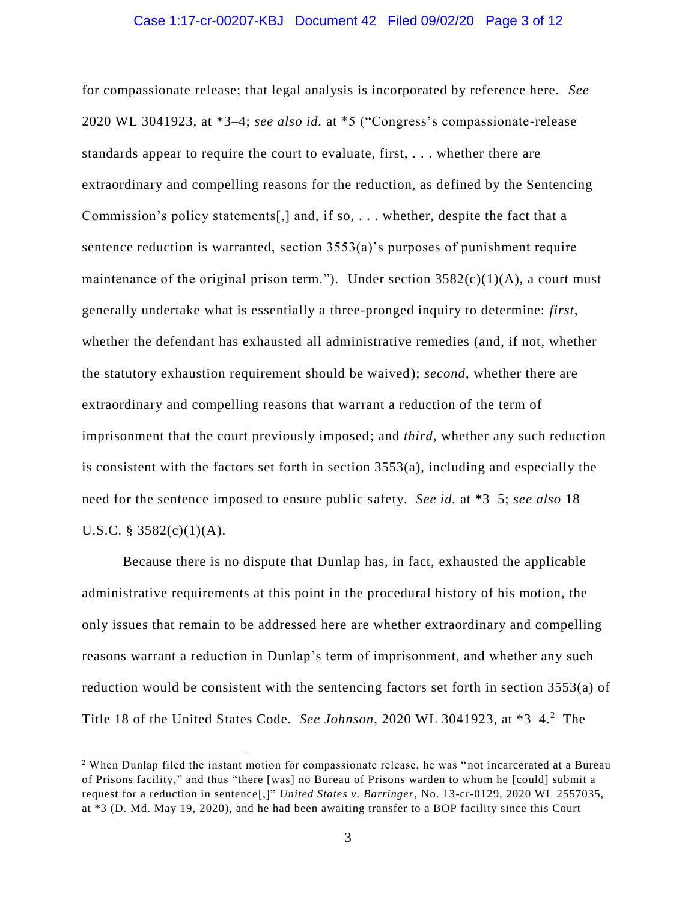### Case 1:17-cr-00207-KBJ Document 42 Filed 09/02/20 Page 3 of 12

for compassionate release; that legal analysis is incorporated by reference here. *See*  2020 WL 3041923, at \*3–4; *see also id.* at \*5 ("Congress's compassionate-release standards appear to require the court to evaluate, first, . . . whether there are extraordinary and compelling reasons for the reduction, as defined by the Sentencing Commission's policy statements[,] and, if so, . . . whether, despite the fact that a sentence reduction is warranted, section 3553(a)'s purposes of punishment require maintenance of the original prison term."). Under section  $3582(c)(1)(A)$ , a court must generally undertake what is essentially a three-pronged inquiry to determine: *first*, whether the defendant has exhausted all administrative remedies (and, if not, whether the statutory exhaustion requirement should be waived); *second*, whether there are extraordinary and compelling reasons that warrant a reduction of the term of imprisonment that the court previously imposed; and *third*, whether any such reduction is consistent with the factors set forth in section 3553(a), including and especially the need for the sentence imposed to ensure public safety. *See id.* at \*3–5; *see also* 18 U.S.C. § 3582(c)(1)(A).

Because there is no dispute that Dunlap has, in fact, exhausted the applicable administrative requirements at this point in the procedural history of his motion, the only issues that remain to be addressed here are whether extraordinary and compelling reasons warrant a reduction in Dunlap's term of imprisonment, and whether any such reduction would be consistent with the sentencing factors set forth in section 3553(a) of Title 18 of the United States Code. *See Johnson*, 2020 WL 3041923, at \*3–4.<sup>2</sup> The

 $\overline{a}$ 

<sup>&</sup>lt;sup>2</sup> When Dunlap filed the instant motion for compassionate release, he was "not incarcerated at a Bureau of Prisons facility," and thus "there [was] no Bureau of Prisons warden to whom he [could] submit a request for a reduction in sentence[,]" *United States v. Barringer*, No. 13-cr-0129, 2020 WL 2557035, at \*3 (D. Md. May 19, 2020), and he had been awaiting transfer to a BOP facility since this Court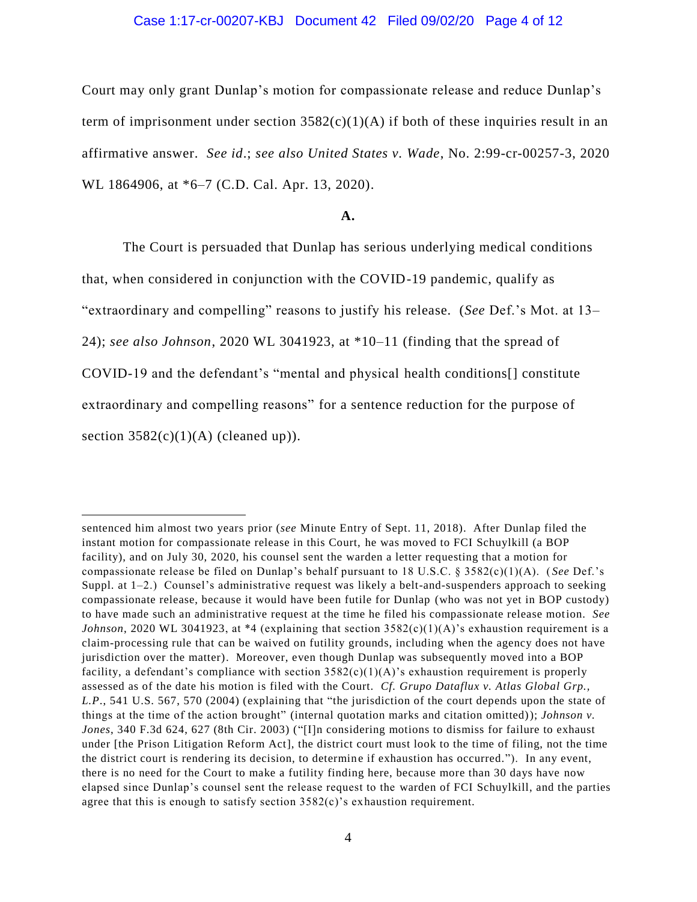## Case 1:17-cr-00207-KBJ Document 42 Filed 09/02/20 Page 4 of 12

Court may only grant Dunlap's motion for compassionate release and reduce Dunlap's term of imprisonment under section  $3582(c)(1)(A)$  if both of these inquiries result in an affirmative answer. *See id*.; *see also United States v. Wade*, No. 2:99-cr-00257-3, 2020 WL 1864906, at \*6–7 (C.D. Cal. Apr. 13, 2020).

#### **A.**

The Court is persuaded that Dunlap has serious underlying medical conditions that, when considered in conjunction with the COVID-19 pandemic, qualify as "extraordinary and compelling" reasons to justify his release. (*See* Def.'s Mot. at 13– 24); *see also Johnson*, 2020 WL 3041923, at \*10–11 (finding that the spread of COVID-19 and the defendant's "mental and physical health conditions[] constitute extraordinary and compelling reasons" for a sentence reduction for the purpose of section  $3582(c)(1)(A)$  (cleaned up)).

 $\overline{a}$ 

sentenced him almost two years prior (*see* Minute Entry of Sept. 11, 2018). After Dunlap filed the instant motion for compassionate release in this Court, he was moved to FCI Schuylkill (a BOP facility), and on July 30, 2020, his counsel sent the warden a letter requesting that a motion for compassionate release be filed on Dunlap's behalf pursuant to 18 U.S.C. § 3582(c)(1)(A). ( *See* Def.'s Suppl. at 1–2.) Counsel's administrative request was likely a belt-and-suspenders approach to seeking compassionate release, because it would have been futile for Dunlap (who was not yet in BOP custody) to have made such an administrative request at the time he filed his compassionate release motion. *See Johnson*, 2020 WL 3041923, at \*4 (explaining that section  $3582(c)(1)(A)$ 's exhaustion requirement is a claim-processing rule that can be waived on futility grounds, including when the agency does not have jurisdiction over the matter). Moreover, even though Dunlap was subsequently moved into a BOP facility, a defendant's compliance with section  $3582(c)(1)(A)$ 's exhaustion requirement is properly assessed as of the date his motion is filed with the Court. *Cf. Grupo Dataflux v. Atlas Global Grp., L.P*., 541 U.S. 567, 570 (2004) (explaining that "the jurisdiction of the court depends upon the state of things at the time of the action brought" (internal quotation marks and citation omitted)); *Johnson v. Jones*, 340 F.3d 624, 627 (8th Cir. 2003) ("[I]n considering motions to dismiss for failure to exhaust under [the Prison Litigation Reform Act], the district court must look to the time of filing, not the time the district court is rendering its decision, to determine if exhaustion has occurred."). In any event, there is no need for the Court to make a futility finding here, because more than 30 days have now elapsed since Dunlap's counsel sent the release request to the warden of FCI Schuylkill, and the parties agree that this is enough to satisfy section 3582(c)'s exhaustion requirement.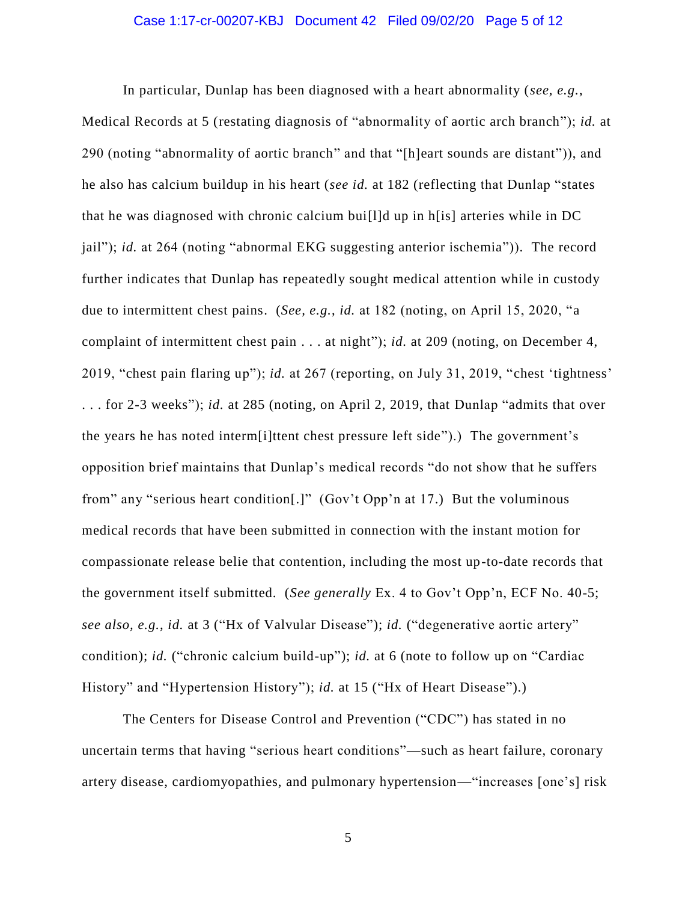## Case 1:17-cr-00207-KBJ Document 42 Filed 09/02/20 Page 5 of 12

In particular, Dunlap has been diagnosed with a heart abnormality (*see, e.g.*, Medical Records at 5 (restating diagnosis of "abnormality of aortic arch branch"); *id.* at 290 (noting "abnormality of aortic branch" and that "[h]eart sounds are distant")), and he also has calcium buildup in his heart (*see id.* at 182 (reflecting that Dunlap "states that he was diagnosed with chronic calcium bui[l]d up in h[is] arteries while in DC jail"); *id.* at 264 (noting "abnormal EKG suggesting anterior ischemia")). The record further indicates that Dunlap has repeatedly sought medical attention while in custody due to intermittent chest pains. (*See, e.g.*, *id.* at 182 (noting, on April 15, 2020, "a complaint of intermittent chest pain . . . at night"); *id.* at 209 (noting, on December 4, 2019, "chest pain flaring up"); *id.* at 267 (reporting, on July 31, 2019, "chest 'tightness' . . . for 2-3 weeks"); *id.* at 285 (noting, on April 2, 2019, that Dunlap "admits that over the years he has noted interm[i]ttent chest pressure left side").) The government's opposition brief maintains that Dunlap's medical records "do not show that he suffers from" any "serious heart condition[.]" (Gov't Opp'n at 17.) But the voluminous medical records that have been submitted in connection with the instant motion for compassionate release belie that contention, including the most up-to-date records that the government itself submitted. (*See generally* Ex. 4 to Gov't Opp'n, ECF No. 40-5; *see also, e.g.*, *id.* at 3 ("Hx of Valvular Disease"); *id.* ("degenerative aortic artery" condition); *id.* ("chronic calcium build-up"); *id.* at 6 (note to follow up on "Cardiac History" and "Hypertension History"); *id.* at 15 ("Hx of Heart Disease").)

The Centers for Disease Control and Prevention ("CDC") has stated in no uncertain terms that having "serious heart conditions"—such as heart failure, coronary artery disease, cardiomyopathies, and pulmonary hypertension—"increases [one's] risk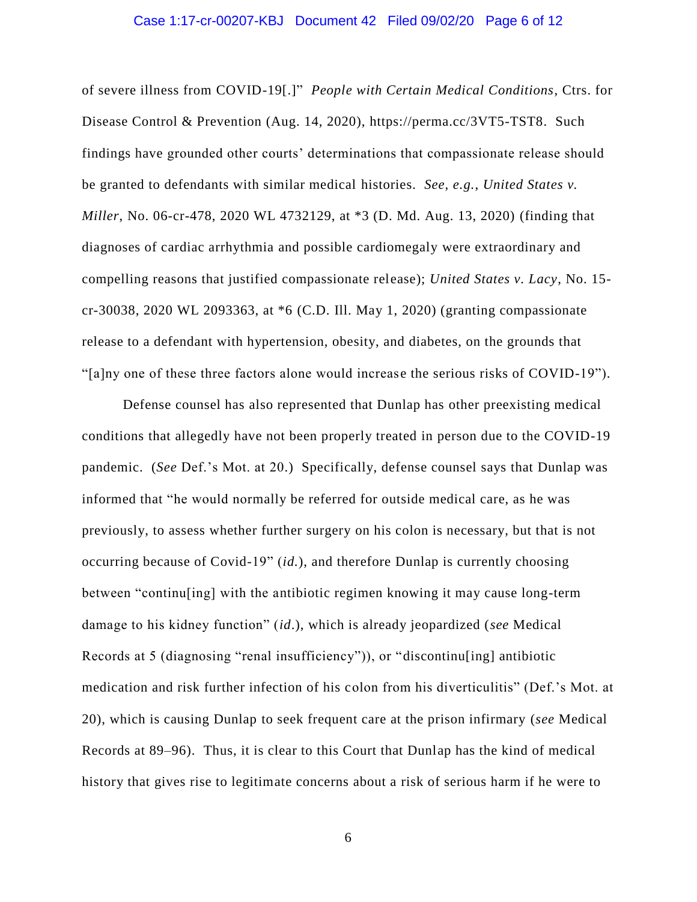### Case 1:17-cr-00207-KBJ Document 42 Filed 09/02/20 Page 6 of 12

of severe illness from COVID-19[.]" *People with Certain Medical Conditions*, Ctrs. for Disease Control & Prevention (Aug. 14, 2020), https://perma.cc/3VT5-TST8. Such findings have grounded other courts' determinations that compassionate release should be granted to defendants with similar medical histories. *See, e.g.*, *United States v. Miller*, No. 06-cr-478, 2020 WL 4732129, at \*3 (D. Md. Aug. 13, 2020) (finding that diagnoses of cardiac arrhythmia and possible cardiomegaly were extraordinary and compelling reasons that justified compassionate release); *United States v. Lacy*, No. 15 cr-30038, 2020 WL 2093363, at \*6 (C.D. Ill. May 1, 2020) (granting compassionate release to a defendant with hypertension, obesity, and diabetes, on the grounds that "[a]ny one of these three factors alone would increase the serious risks of COVID-19").

Defense counsel has also represented that Dunlap has other preexisting medical conditions that allegedly have not been properly treated in person due to the COVID-19 pandemic. (*See* Def.'s Mot. at 20.) Specifically, defense counsel says that Dunlap was informed that "he would normally be referred for outside medical care, as he was previously, to assess whether further surgery on his colon is necessary, but that is not occurring because of Covid-19" (*id.*), and therefore Dunlap is currently choosing between "continu[ing] with the antibiotic regimen knowing it may cause long-term damage to his kidney function" (*id*.), which is already jeopardized (*see* Medical Records at 5 (diagnosing "renal insufficiency")), or "discontinu[ing] antibiotic medication and risk further infection of his colon from his diverticulitis" (Def.'s Mot. at 20), which is causing Dunlap to seek frequent care at the prison infirmary (*see* Medical Records at 89–96). Thus, it is clear to this Court that Dunlap has the kind of medical history that gives rise to legitimate concerns about a risk of serious harm if he were to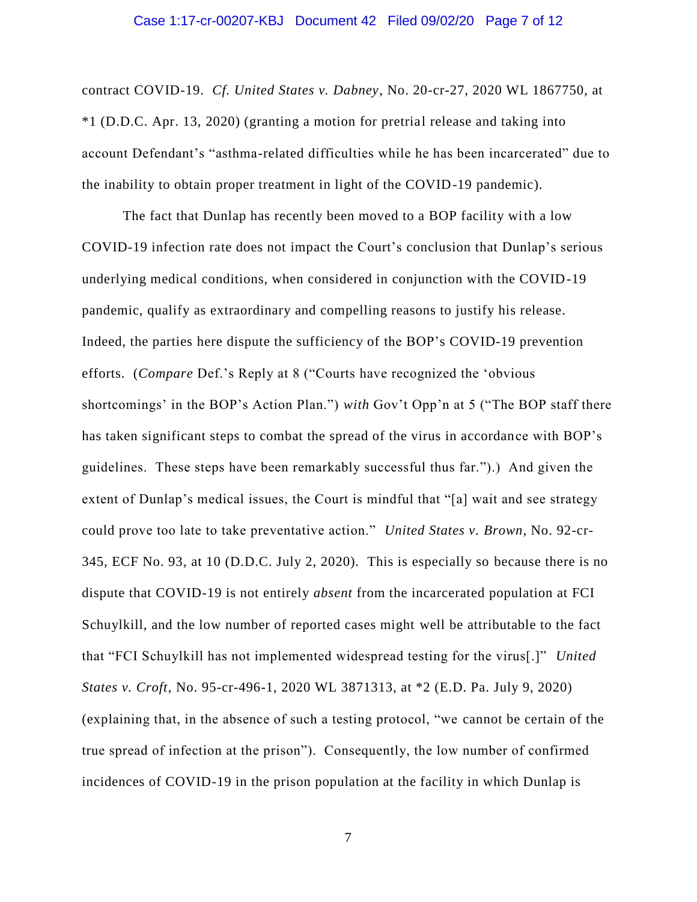#### Case 1:17-cr-00207-KBJ Document 42 Filed 09/02/20 Page 7 of 12

contract COVID-19. *Cf. United States v. Dabney*, No. 20-cr-27, 2020 WL 1867750, at \*1 (D.D.C. Apr. 13, 2020) (granting a motion for pretrial release and taking into account Defendant's "asthma-related difficulties while he has been incarcerated" due to the inability to obtain proper treatment in light of the COVID-19 pandemic).

The fact that Dunlap has recently been moved to a BOP facility with a low COVID-19 infection rate does not impact the Court's conclusion that Dunlap's serious underlying medical conditions, when considered in conjunction with the COVID-19 pandemic, qualify as extraordinary and compelling reasons to justify his release. Indeed, the parties here dispute the sufficiency of the BOP's COVID-19 prevention efforts. (*Compare* Def.'s Reply at 8 ("Courts have recognized the 'obvious shortcomings' in the BOP's Action Plan.") *with* Gov't Opp'n at 5 ("The BOP staff there has taken significant steps to combat the spread of the virus in accordance with BOP's guidelines. These steps have been remarkably successful thus far.").) And given the extent of Dunlap's medical issues, the Court is mindful that "[a] wait and see strategy could prove too late to take preventative action." *United States v. Brown*, No. 92-cr-345, ECF No. 93, at 10 (D.D.C. July 2, 2020). This is especially so because there is no dispute that COVID-19 is not entirely *absent* from the incarcerated population at FCI Schuylkill, and the low number of reported cases might well be attributable to the fact that "FCI Schuylkill has not implemented widespread testing for the virus[.]" *United States v. Croft*, No. 95-cr-496-1, 2020 WL 3871313, at \*2 (E.D. Pa. July 9, 2020) (explaining that, in the absence of such a testing protocol, "we cannot be certain of the true spread of infection at the prison"). Consequently, the low number of confirmed incidences of COVID-19 in the prison population at the facility in which Dunlap is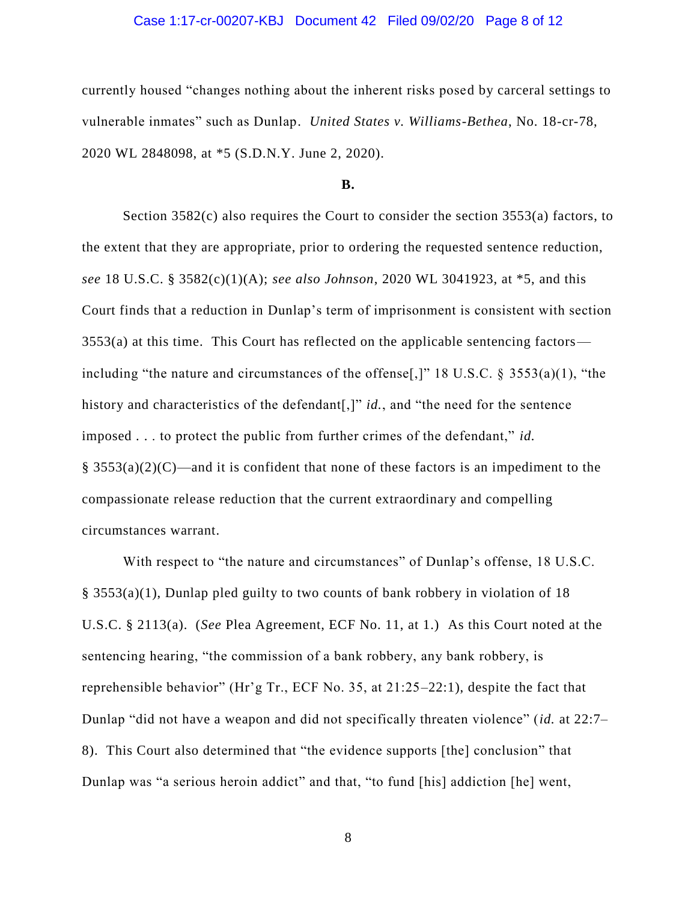## Case 1:17-cr-00207-KBJ Document 42 Filed 09/02/20 Page 8 of 12

currently housed "changes nothing about the inherent risks posed by carceral settings to vulnerable inmates" such as Dunlap. *United States v. Williams-Bethea*, No. 18-cr-78, 2020 WL 2848098, at \*5 (S.D.N.Y. June 2, 2020).

#### **B.**

Section 3582(c) also requires the Court to consider the section 3553(a) factors, to the extent that they are appropriate, prior to ordering the requested sentence reduction, *see* 18 U.S.C. § 3582(c)(1)(A); *see also Johnson*, 2020 WL 3041923, at \*5, and this Court finds that a reduction in Dunlap's term of imprisonment is consistent with section 3553(a) at this time. This Court has reflected on the applicable sentencing factors including "the nature and circumstances of the offense[,]" 18 U.S.C. § 3553(a)(1), "the history and characteristics of the defendant[,]" *id.*, and "the need for the sentence imposed . . . to protect the public from further crimes of the defendant," *id.*   $\S$  3553(a)(2)(C)—and it is confident that none of these factors is an impediment to the compassionate release reduction that the current extraordinary and compelling circumstances warrant.

With respect to "the nature and circumstances" of Dunlap's offense, 18 U.S.C. § 3553(a)(1), Dunlap pled guilty to two counts of bank robbery in violation of 18 U.S.C. § 2113(a). (*See* Plea Agreement, ECF No. 11, at 1.) As this Court noted at the sentencing hearing, "the commission of a bank robbery, any bank robbery, is reprehensible behavior" (Hr'g Tr., ECF No. 35, at 21:25–22:1), despite the fact that Dunlap "did not have a weapon and did not specifically threaten violence" (*id.* at 22:7– 8). This Court also determined that "the evidence supports [the] conclusion" that Dunlap was "a serious heroin addict" and that, "to fund [his] addiction [he] went,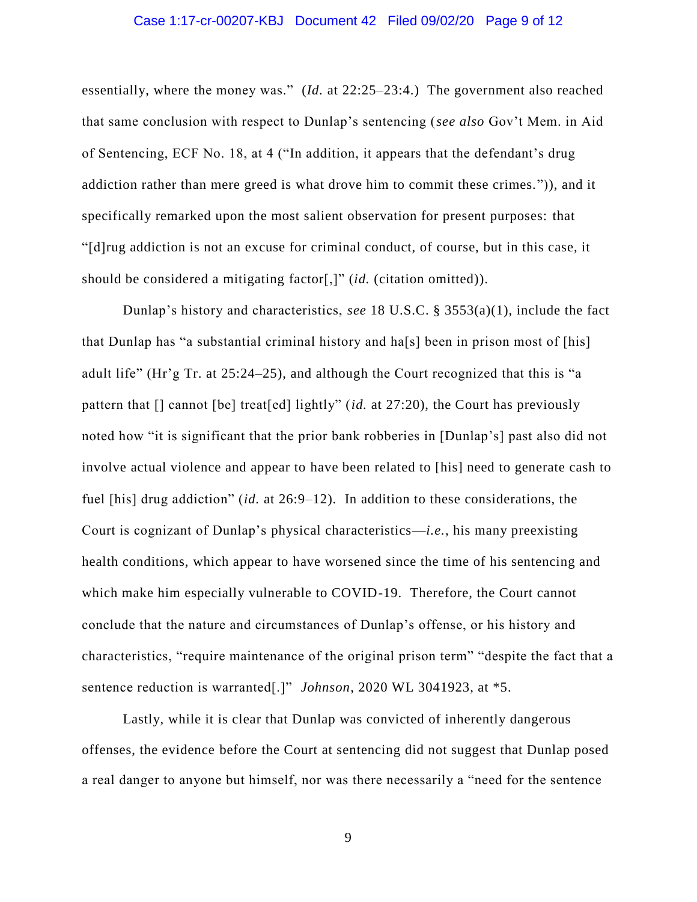### Case 1:17-cr-00207-KBJ Document 42 Filed 09/02/20 Page 9 of 12

essentially, where the money was." (*Id.* at 22:25–23:4.) The government also reached that same conclusion with respect to Dunlap's sentencing (*see also* Gov't Mem. in Aid of Sentencing, ECF No. 18, at 4 ("In addition, it appears that the defendant's drug addiction rather than mere greed is what drove him to commit these crimes.")), and it specifically remarked upon the most salient observation for present purposes: that "[d]rug addiction is not an excuse for criminal conduct, of course, but in this case, it should be considered a mitigating factor[,]" (*id.* (citation omitted)).

Dunlap's history and characteristics, *see* 18 U.S.C. § 3553(a)(1), include the fact that Dunlap has "a substantial criminal history and ha[s] been in prison most of [his] adult life" (Hr'g Tr. at 25:24–25), and although the Court recognized that this is "a pattern that [] cannot [be] treat[ed] lightly" (*id.* at 27:20), the Court has previously noted how "it is significant that the prior bank robberies in [Dunlap's] past also did not involve actual violence and appear to have been related to [his] need to generate cash to fuel [his] drug addiction" (*id.* at 26:9–12). In addition to these considerations, the Court is cognizant of Dunlap's physical characteristics—*i.e.*, his many preexisting health conditions, which appear to have worsened since the time of his sentencing and which make him especially vulnerable to COVID-19. Therefore, the Court cannot conclude that the nature and circumstances of Dunlap's offense, or his history and characteristics, "require maintenance of the original prison term" "despite the fact that a sentence reduction is warranted[.]" *Johnson*, 2020 WL 3041923, at \*5.

Lastly, while it is clear that Dunlap was convicted of inherently dangerous offenses, the evidence before the Court at sentencing did not suggest that Dunlap posed a real danger to anyone but himself, nor was there necessarily a "need for the sentence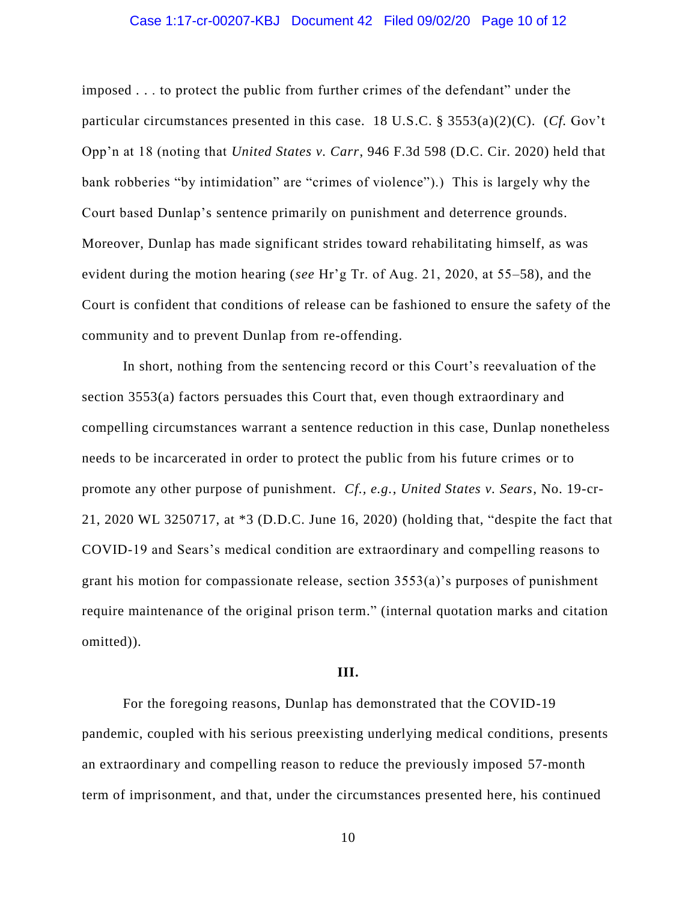## Case 1:17-cr-00207-KBJ Document 42 Filed 09/02/20 Page 10 of 12

imposed . . . to protect the public from further crimes of the defendant" under the particular circumstances presented in this case. 18 U.S.C. § 3553(a)(2)(C). (*Cf.* Gov't Opp'n at 18 (noting that *United States v. Carr*, 946 F.3d 598 (D.C. Cir. 2020) held that bank robberies "by intimidation" are "crimes of violence").) This is largely why the Court based Dunlap's sentence primarily on punishment and deterrence grounds. Moreover, Dunlap has made significant strides toward rehabilitating himself, as was evident during the motion hearing (*see* Hr'g Tr. of Aug. 21, 2020, at 55–58), and the Court is confident that conditions of release can be fashioned to ensure the safety of the community and to prevent Dunlap from re-offending.

In short, nothing from the sentencing record or this Court's reevaluation of the section 3553(a) factors persuades this Court that, even though extraordinary and compelling circumstances warrant a sentence reduction in this case, Dunlap nonetheless needs to be incarcerated in order to protect the public from his future crimes or to promote any other purpose of punishment. *Cf., e.g.*, *United States v. Sears*, No. 19-cr-21, 2020 WL 3250717, at \*3 (D.D.C. June 16, 2020) (holding that, "despite the fact that COVID-19 and Sears's medical condition are extraordinary and compelling reasons to grant his motion for compassionate release, section 3553(a)'s purposes of punishment require maintenance of the original prison term." (internal quotation marks and citation omitted)).

#### **III.**

For the foregoing reasons, Dunlap has demonstrated that the COVID-19 pandemic, coupled with his serious preexisting underlying medical conditions, presents an extraordinary and compelling reason to reduce the previously imposed 57-month term of imprisonment, and that, under the circumstances presented here, his continued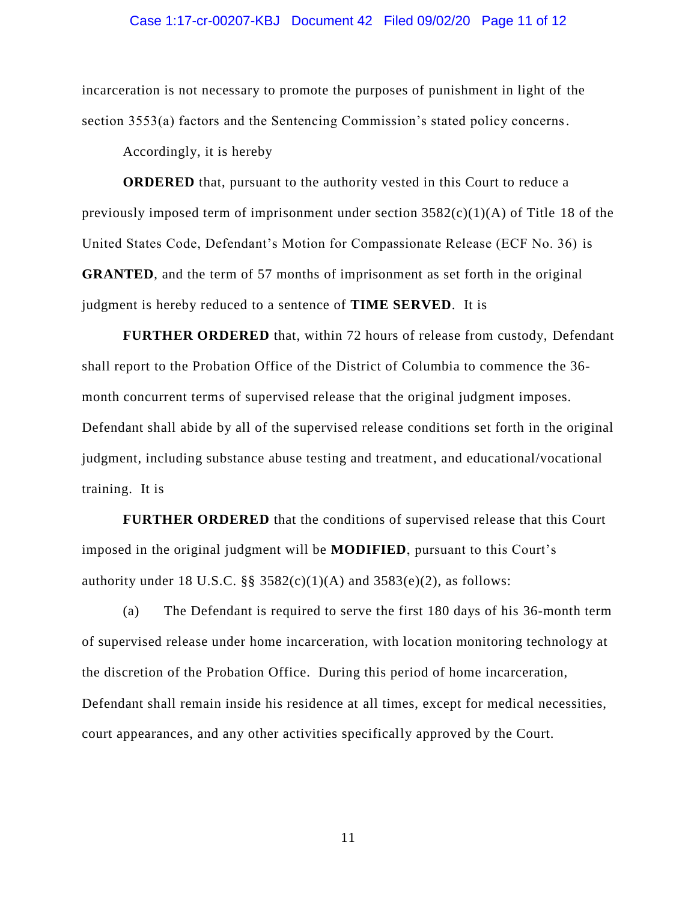### Case 1:17-cr-00207-KBJ Document 42 Filed 09/02/20 Page 11 of 12

incarceration is not necessary to promote the purposes of punishment in light of the section 3553(a) factors and the Sentencing Commission's stated policy concerns.

Accordingly, it is hereby

**ORDERED** that, pursuant to the authority vested in this Court to reduce a previously imposed term of imprisonment under section  $3582(c)(1)(A)$  of Title 18 of the United States Code, Defendant's Motion for Compassionate Release (ECF No. 36) is **GRANTED**, and the term of 57 months of imprisonment as set forth in the original judgment is hereby reduced to a sentence of **TIME SERVED**. It is

**FURTHER ORDERED** that, within 72 hours of release from custody, Defendant shall report to the Probation Office of the District of Columbia to commence the 36 month concurrent terms of supervised release that the original judgment imposes. Defendant shall abide by all of the supervised release conditions set forth in the original judgment, including substance abuse testing and treatment, and educational/vocational training. It is

**FURTHER ORDERED** that the conditions of supervised release that this Court imposed in the original judgment will be **MODIFIED**, pursuant to this Court's authority under 18 U.S.C. §§  $3582(c)(1)(A)$  and  $3583(e)(2)$ , as follows:

(a) The Defendant is required to serve the first 180 days of his 36-month term of supervised release under home incarceration, with location monitoring technology at the discretion of the Probation Office. During this period of home incarceration, Defendant shall remain inside his residence at all times, except for medical necessities, court appearances, and any other activities specifically approved by the Court.